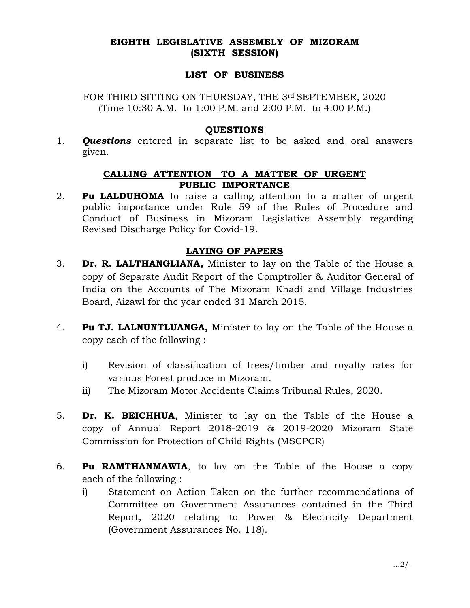## EIGHTH LEGISLATIVE ASSEMBLY OF MIZORAM (SIXTH SESSION)

#### LIST OF BUSINESS

FOR THIRD SITTING ON THURSDAY, THE 3rd SEPTEMBER, 2020 (Time 10:30 A.M. to 1:00 P.M. and 2:00 P.M. to 4:00 P.M.)

#### **OUESTIONS**

1. **Questions** entered in separate list to be asked and oral answers given.

# CALLING ATTENTION TO A MATTER OF URGENT PUBLIC IMPORTANCE

2. Pu LALDUHOMA to raise a calling attention to a matter of urgent public importance under Rule 59 of the Rules of Procedure and Conduct of Business in Mizoram Legislative Assembly regarding Revised Discharge Policy for Covid-19.

# LAYING OF PAPERS

- 3. **Dr. R. LALTHANGLIANA,** Minister to lay on the Table of the House a copy of Separate Audit Report of the Comptroller & Auditor General of India on the Accounts of The Mizoram Khadi and Village Industries Board, Aizawl for the year ended 31 March 2015.
- 4. Pu TJ. LALNUNTLUANGA, Minister to lay on the Table of the House a copy each of the following :
	- i) Revision of classification of trees/timber and royalty rates for various Forest produce in Mizoram.
	- ii) The Mizoram Motor Accidents Claims Tribunal Rules, 2020.
- 5. **Dr. K. BEICHHUA**, Minister to lay on the Table of the House a copy of Annual Report 2018-2019 & 2019-2020 Mizoram State Commission for Protection of Child Rights (MSCPCR)
- 6. **Pu RAMTHANMAWIA**, to lay on the Table of the House a copy each of the following :
	- i) Statement on Action Taken on the further recommendations of Committee on Government Assurances contained in the Third Report, 2020 relating to Power & Electricity Department (Government Assurances No. 118).